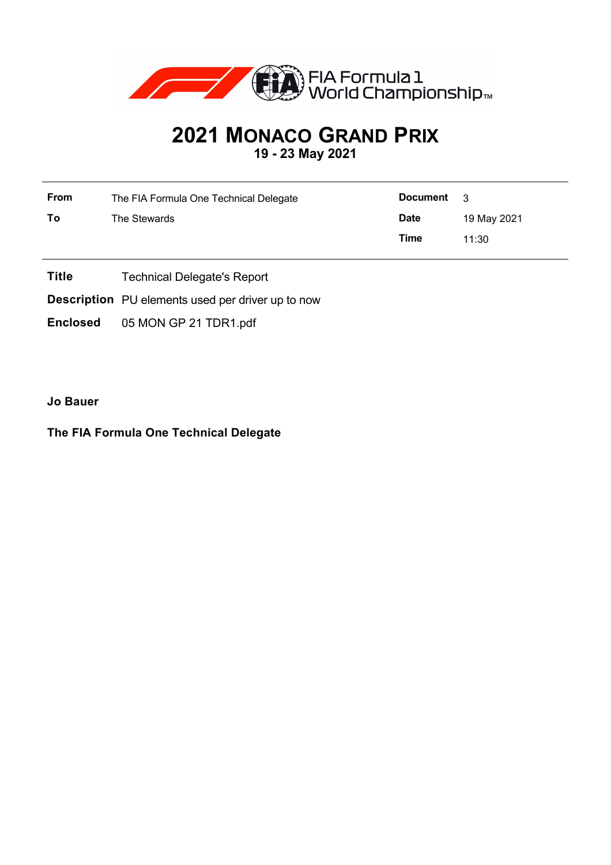

## **2021 MONACO GRAND PRIX 19 - 23 May 2021**

| <b>From</b> | The FIA Formula One Technical Delegate | <b>Document</b> | $\mathbf{R}$ |  |
|-------------|----------------------------------------|-----------------|--------------|--|
| To          | The Stewards                           | <b>Date</b>     | 19 May 2021  |  |
|             |                                        | Time            | 11:30        |  |

- **Title** Technical Delegate's Report
- **Description** PU elements used per driver up to now
- **Enclosed** 05 MON GP 21 TDR1.pdf

**Jo Bauer**

## **The FIA Formula One Technical Delegate**